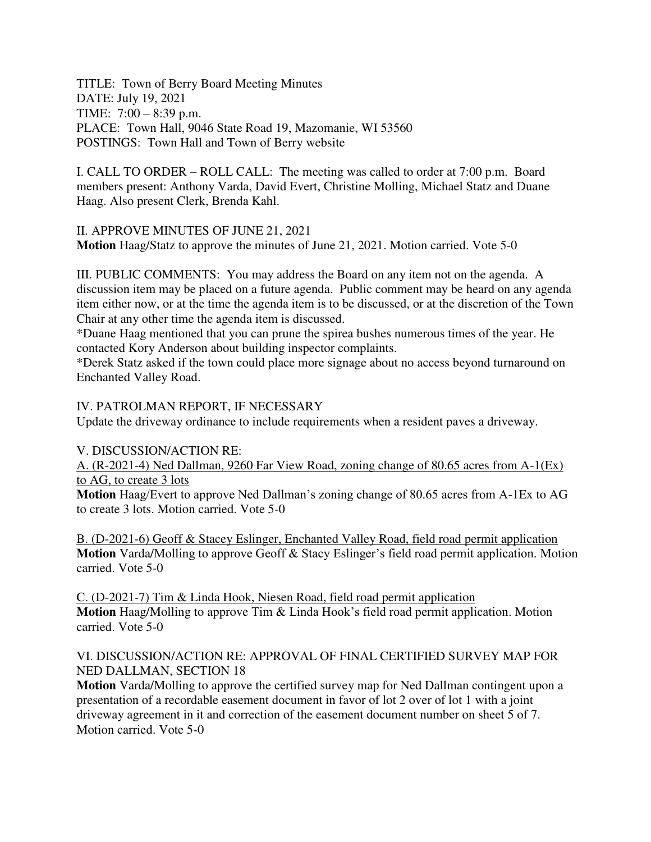TITLE: Town of Berry Board Meeting Minutes DATE: July 19, 2021 TIME: 7:00 – 8:39 p.m. PLACE: Town Hall, 9046 State Road 19, Mazomanie, WI 53560 POSTINGS: Town Hall and Town of Berry website

I. CALL TO ORDER – ROLL CALL: The meeting was called to order at 7:00 p.m. Board members present: Anthony Varda, David Evert, Christine Molling, Michael Statz and Duane Haag. Also present Clerk, Brenda Kahl.

II. APPROVE MINUTES OF JUNE 21, 2021 **Motion** Haag/Statz to approve the minutes of June 21, 2021. Motion carried. Vote 5-0

III. PUBLIC COMMENTS: You may address the Board on any item not on the agenda. A discussion item may be placed on a future agenda. Public comment may be heard on any agenda item either now, or at the time the agenda item is to be discussed, or at the discretion of the Town Chair at any other time the agenda item is discussed.

\*Duane Haag mentioned that you can prune the spirea bushes numerous times of the year. He contacted Kory Anderson about building inspector complaints.

\*Derek Statz asked if the town could place more signage about no access beyond turnaround on Enchanted Valley Road.

### IV. PATROLMAN REPORT, IF NECESSARY

Update the driveway ordinance to include requirements when a resident paves a driveway.

#### V. DISCUSSION/ACTION RE:

A. (R-2021-4) Ned Dallman, 9260 Far View Road, zoning change of 80.65 acres from A-1(Ex) to AG, to create 3 lots

**Motion** Haag/Evert to approve Ned Dallman's zoning change of 80.65 acres from A-1Ex to AG to create 3 lots. Motion carried. Vote 5-0

B. (D-2021-6) Geoff & Stacey Eslinger, Enchanted Valley Road, field road permit application **Motion** Varda/Molling to approve Geoff & Stacy Eslinger's field road permit application. Motion carried. Vote 5-0

C. (D-2021-7) Tim & Linda Hook, Niesen Road, field road permit application **Motion** Haag/Molling to approve Tim & Linda Hook's field road permit application. Motion carried. Vote 5-0

### VI. DISCUSSION/ACTION RE: APPROVAL OF FINAL CERTIFIED SURVEY MAP FOR NED DALLMAN, SECTION 18

**Motion** Varda/Molling to approve the certified survey map for Ned Dallman contingent upon a presentation of a recordable easement document in favor of lot 2 over of lot 1 with a joint driveway agreement in it and correction of the easement document number on sheet 5 of 7. Motion carried. Vote 5-0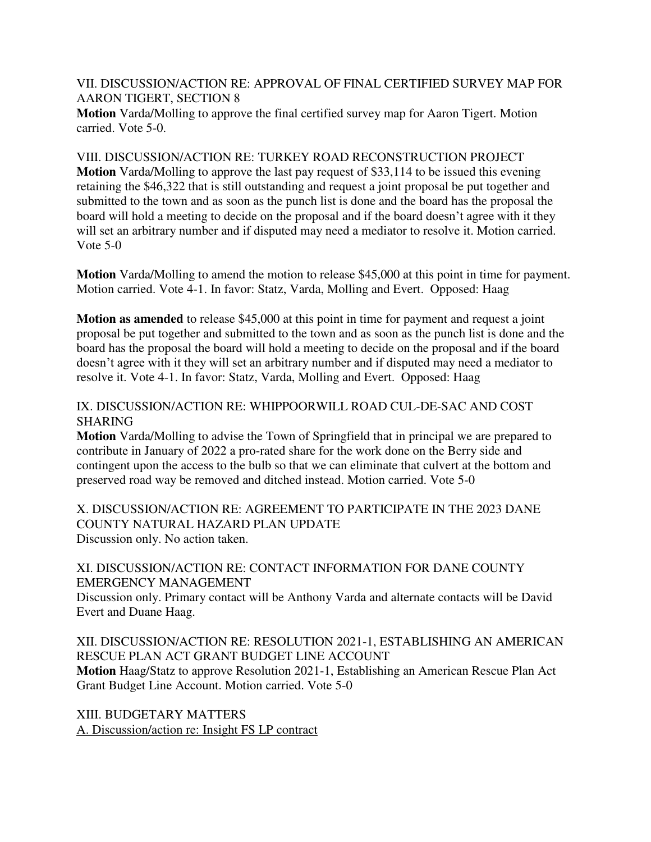VII. DISCUSSION/ACTION RE: APPROVAL OF FINAL CERTIFIED SURVEY MAP FOR AARON TIGERT, SECTION 8

**Motion** Varda/Molling to approve the final certified survey map for Aaron Tigert. Motion carried. Vote 5-0.

VIII. DISCUSSION/ACTION RE: TURKEY ROAD RECONSTRUCTION PROJECT

**Motion** Varda/Molling to approve the last pay request of \$33,114 to be issued this evening retaining the \$46,322 that is still outstanding and request a joint proposal be put together and submitted to the town and as soon as the punch list is done and the board has the proposal the board will hold a meeting to decide on the proposal and if the board doesn't agree with it they will set an arbitrary number and if disputed may need a mediator to resolve it. Motion carried. Vote 5-0

**Motion** Varda/Molling to amend the motion to release \$45,000 at this point in time for payment. Motion carried. Vote 4-1. In favor: Statz, Varda, Molling and Evert. Opposed: Haag

**Motion as amended** to release \$45,000 at this point in time for payment and request a joint proposal be put together and submitted to the town and as soon as the punch list is done and the board has the proposal the board will hold a meeting to decide on the proposal and if the board doesn't agree with it they will set an arbitrary number and if disputed may need a mediator to resolve it. Vote 4-1. In favor: Statz, Varda, Molling and Evert. Opposed: Haag

## IX. DISCUSSION/ACTION RE: WHIPPOORWILL ROAD CUL-DE-SAC AND COST SHARING

**Motion** Varda/Molling to advise the Town of Springfield that in principal we are prepared to contribute in January of 2022 a pro-rated share for the work done on the Berry side and contingent upon the access to the bulb so that we can eliminate that culvert at the bottom and preserved road way be removed and ditched instead. Motion carried. Vote 5-0

X. DISCUSSION/ACTION RE: AGREEMENT TO PARTICIPATE IN THE 2023 DANE COUNTY NATURAL HAZARD PLAN UPDATE Discussion only. No action taken.

### XI. DISCUSSION/ACTION RE: CONTACT INFORMATION FOR DANE COUNTY EMERGENCY MANAGEMENT

Discussion only. Primary contact will be Anthony Varda and alternate contacts will be David Evert and Duane Haag.

## XII. DISCUSSION/ACTION RE: RESOLUTION 2021-1, ESTABLISHING AN AMERICAN RESCUE PLAN ACT GRANT BUDGET LINE ACCOUNT

**Motion** Haag/Statz to approve Resolution 2021-1, Establishing an American Rescue Plan Act Grant Budget Line Account. Motion carried. Vote 5-0

XIII. BUDGETARY MATTERS A. Discussion/action re: Insight FS LP contract